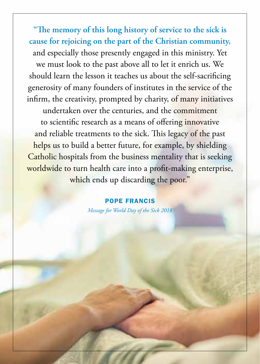**"The memory of this long history of service to the sick is cause for rejoicing on the part of the Christian community,** and especially those presently engaged in this ministry. Yet we must look to the past above all to let it enrich us. We should learn the lesson it teaches us about the self-sacrificing generosity of many founders of institutes in the service of the infirm, the creativity, prompted by charity, of many initiatives undertaken over the centuries, and the commitment to scientific research as a means of offering innovative and reliable treatments to the sick. This legacy of the past helps us to build a better future, for example, by shielding Catholic hospitals from the business mentality that is seeking worldwide to turn health care into a profit-making enterprise, which ends up discarding the poor."

## POPE FRANCIS

*Message for World Day of the Sick 2018*